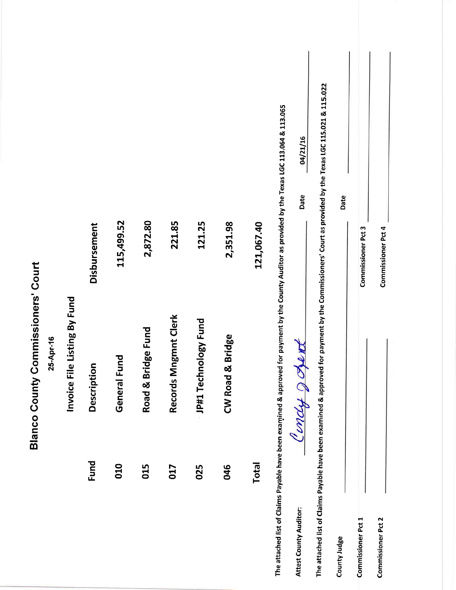|                                              |           |                              |                         |                 |                       |                      |                      |                  |              |                                                                                                                                                    | 04/21/16<br>Date              |                                                                                                                                                          | Date         |                           |                           |  |
|----------------------------------------------|-----------|------------------------------|-------------------------|-----------------|-----------------------|----------------------|----------------------|------------------|--------------|----------------------------------------------------------------------------------------------------------------------------------------------------|-------------------------------|----------------------------------------------------------------------------------------------------------------------------------------------------------|--------------|---------------------------|---------------------------|--|
|                                              |           |                              | Disbursement            | 115,499.52      | 2,872.80              | 221.85               | 121.25               | 2,351.98         | 121,067.40   |                                                                                                                                                    |                               |                                                                                                                                                          |              | Commissioner Pct 3        | Commissioner Pct 4        |  |
| Commissioners' Court<br><b>Blanco County</b> | 25-Apr-16 | Invoice File Listing By Fund | tion<br><b>Descript</b> | Fund<br>General | Bridge Fund<br>Road & | Records Mngmnt Clerk | JP#1 Technology Fund | CW Road & Bridge |              | The attached list of Claims Payable have been examined & approved for payment by the County Auditor as provided by the Texas LGC 113.064 & 113.065 | OVA<br>Condy a                | The attached list of Claims Payable have been examined & approved for payment by the Commissioners' Court as provided by the Texas LGC 115.021 & 115.022 |              |                           |                           |  |
|                                              |           |                              | <b>Fund</b>             | 010             | 015                   | 017                  | 025                  | 046              | <b>Total</b> |                                                                                                                                                    | <b>Attest County Auditor:</b> |                                                                                                                                                          | County Judge | <b>Commissioner Pct 1</b> | <b>Commissioner Pct 2</b> |  |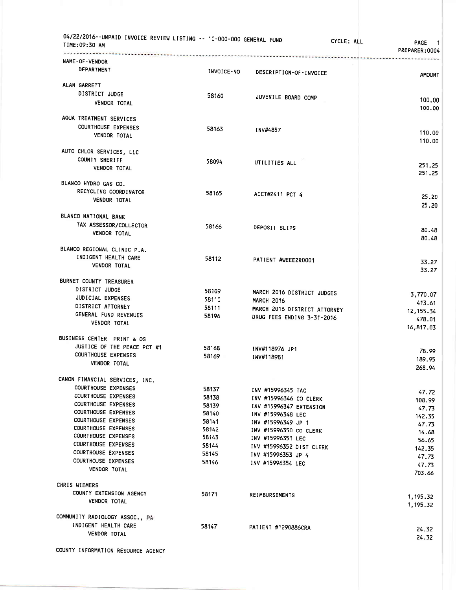|                                |            | -------------------------------------        |                     |
|--------------------------------|------------|----------------------------------------------|---------------------|
| NAME-OF-VENDOR<br>DEPARTMENT   |            |                                              |                     |
|                                | INVOICE-NO | DESCRIPTION-OF-INVOICE                       | <b>AMOUNT</b>       |
| ALAN GARRETT                   |            |                                              |                     |
| DISTRICT JUDGE                 | 58160      | JUVENILE BOARD COMP                          |                     |
| VENDOR TOTAL                   |            |                                              | 100.00<br>100.00    |
| AQUA TREATMENT SERVICES        |            |                                              |                     |
| <b>COURTHOUSE EXPENSES</b>     | 58163      | INV#4857                                     |                     |
| <b>VENDOR TOTAL</b>            |            |                                              | 110.00<br>110.00    |
| AUTO CHLOR SERVICES, LLC       |            |                                              |                     |
| COUNTY SHERIFF                 | 58094      | UTILITIES ALL                                |                     |
| <b>VENDOR TOTAL</b>            |            |                                              | 251.25<br>251.25    |
| BLANCO HYDRO GAS CO.           |            |                                              |                     |
| RECYCLING COORDINATOR          | 58165      | ACCT#2411 PCT 4                              |                     |
| <b>VENDOR TOTAL</b>            |            |                                              | 25.20<br>25.20      |
| BLANCO NATIONAL BANK           |            |                                              |                     |
| TAX ASSESSOR/COLLECTOR         | 58166      | DEPOSIT SLIPS                                |                     |
| VENDOR TOTAL                   |            |                                              | 80.48<br>80.48      |
| BLANCO REGIONAL CLINIC P.A.    |            |                                              |                     |
| INDIGENT HEALTH CARE           | 58112      | PATIENT #WEEEZR0001                          |                     |
| <b>VENDOR TOTAL</b>            |            |                                              | 33.27<br>33.27      |
| BURNET COUNTY TREASURER        |            |                                              |                     |
| DISTRICT JUDGE                 | 58109      | MARCH 2016 DISTRICT JUDGES                   |                     |
| JUDICIAL EXPENSES              | 58110      | <b>MARCH 2016</b>                            | 3,770.07            |
| DISTRICT ATTORNEY              | 58111      | MARCH 2016 DISTRICT ATTORNEY                 | 413.61              |
| GENERAL FUND REVENUES          | 58196      | DRUG FEES ENDING 3-31-2016                   | 12, 155.34          |
| VENDOR TOTAL                   |            |                                              | 478.01<br>16,817.03 |
| BUSINESS CENTER PRINT & OS     |            |                                              |                     |
| JUSTICE OF THE PEACE PCT #1    | 58168      |                                              |                     |
| <b>COURTHOUSE EXPENSES</b>     | 58169      | INV#118976 JP1<br>INV#118981                 | 78.99               |
| VENDOR TOTAL                   |            |                                              | 189.95<br>268.94    |
| CANON FINANCIAL SERVICES, INC. |            |                                              |                     |
| <b>COURTHOUSE EXPENSES</b>     | 58137      |                                              |                     |
| COURTHOUSE EXPENSES            | 58138      | INV #15996345 TAC                            | 47.72               |
| <b>COURTHOUSE EXPENSES</b>     | 58139      | INV #15996346 CO CLERK                       | 108.99              |
| <b>COURTHOUSE EXPENSES</b>     | 58140      | INV #15996347 EXTENSION<br>INV #15996348 LEC | 47.73               |
| <b>COURTHOUSE EXPENSES</b>     | 58141      | INV #15996349 JP 1                           | 142.35              |
| <b>COURTHOUSE EXPENSES</b>     | 58142      | INV #15996350 CO CLERK                       | 47.73               |
| <b>COURTHOUSE EXPENSES</b>     | 58143      | INV #15996351 LEC                            | 14.68               |
| <b>COURTHOUSE EXPENSES</b>     | 58144      | INV #15996352 DIST CLERK                     | 56.65               |
| <b>COURTHOUSE EXPENSES</b>     | 58145      | INV #15996353 JP 4                           | 142.35              |
| <b>COURTHOUSE EXPENSES</b>     | 58146      | INV #15996354 LEC                            | 47.73<br>47.73      |
| <b>VENDOR TOTAL</b>            |            |                                              | 703.66              |
| CHRIS WIEMERS                  |            |                                              |                     |
| COUNTY EXTENSION AGENCY        | 58171      | <b>REIMBURSEMENTS</b>                        | 1,195.32            |
| <b>VENDOR TOTAL</b>            |            |                                              | 1,195.32            |
| COMMUNITY RADIOLOGY ASSOC., PA |            |                                              |                     |
|                                |            |                                              |                     |
| INDIGENT HEALTH CARE           | 58147      | PATIENT #1290886CRA                          | 24.32               |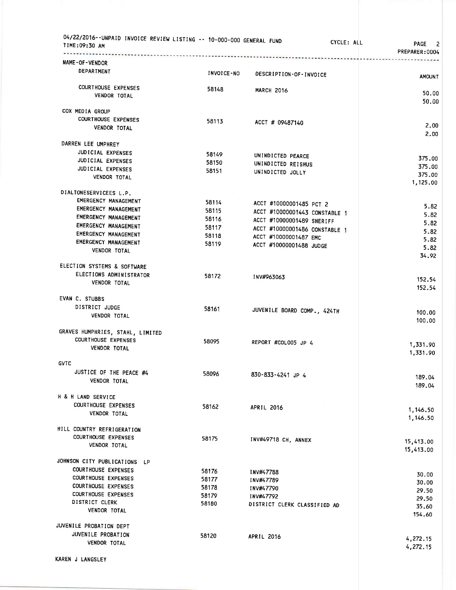| 04/22/2016--UNPAID INVOICE REVIEW LISTING -- 10-000-000 GENERAL FUND<br>TIME:09:30 AM<br>. <i>.</i> |            | CYCLE: ALL                    | PAGE<br>2<br>PREPARER:0004 |
|-----------------------------------------------------------------------------------------------------|------------|-------------------------------|----------------------------|
| NAME-OF-VENDOR                                                                                      |            |                               |                            |
| <b>DEPARTMENT</b>                                                                                   | INVOICE-NO | DESCRIPTION-OF-INVOICE        | <b>AMOUNT</b>              |
| <b>COURTHOUSE EXPENSES</b>                                                                          | 58148      | <b>MARCH 2016</b>             |                            |
| VENDOR TOTAL                                                                                        |            |                               | 50.00<br>50.00             |
| COX MEDIA GROUP                                                                                     |            |                               |                            |
| <b>COURTHOUSE EXPENSES</b>                                                                          | 58113      | ACCT # 09487140               |                            |
| VENDOR TOTAL                                                                                        |            |                               | 2.00<br>2.00               |
| DARREN LEE UMPHREY                                                                                  |            |                               |                            |
| JUDICIAL EXPENSES                                                                                   | 58149      | UNINDICTED PEARCE             |                            |
| JUDICIAL EXPENSES                                                                                   | 58150      | UNINDICTED REISHUS            | 375.00                     |
| JUDICIAL EXPENSES                                                                                   | 58151      | UNINDICTED JOLLY              | 375.00                     |
| VENDOR TOTAL                                                                                        |            |                               | 375.00<br>1,125.00         |
| DIALTONESERVICEES L.P.                                                                              |            |                               |                            |
| EMERGENCY MANAGEMENT                                                                                | 58114      | ACCT #10000001485 PCT 2       |                            |
| EMERGENCY MANAGEMENT                                                                                | 58115      | ACCT #10000001443 CONSTABLE 1 | 5.82                       |
| EMERGENCY MANAGEMENT                                                                                | 58116      | ACCT #10000001489 SHERIFF     | 5.82                       |
| EMERGENCY MANAGEMENT                                                                                | 58117      | ACCT #10000001486 CONSTABLE 1 | 5.82                       |
| EMERGENCY MANAGEMENT                                                                                | 58118      | ACCT #10000001487 EMC         | 5.82                       |
| EMERGENCY MANAGEMENT                                                                                | 58119      | ACCT #10000001488 JUDGE       | 5.82                       |
| VENDOR TOTAL                                                                                        |            |                               | 5.82<br>34.92              |
| ELECTION SYSTEMS & SOFTWARE                                                                         |            |                               |                            |
| ELECTIONS ADMINISTRATOR                                                                             | 58172      | INV#963063                    | 152.54                     |
| VENDOR TOTAL                                                                                        |            |                               | 152.54                     |
| EVAN C. STUBBS                                                                                      |            |                               |                            |
| DISTRICT JUDGE                                                                                      | 58161      | JUVENILE BOARD COMP., 424TH   | 100.00                     |
| VENDOR TOTAL                                                                                        |            |                               | 100.00                     |
| GRAVES HUMPHRIES, STAHL, LIMITED                                                                    |            |                               |                            |
| COURTHOUSE EXPENSES                                                                                 | 58095      | REPORT #COLOO5 JP 4           | 1,331.90                   |
| <b>VENDOR TOTAL</b>                                                                                 |            |                               | 1,331.90                   |
| <b>GVTC</b>                                                                                         |            |                               |                            |
| JUSTICE OF THE PEACE #4                                                                             | 58096      | 830-833-4241 JP 4             | 189.04                     |
| <b>VENDOR TOTAL</b>                                                                                 |            |                               | 189.04                     |
| H & H LAND SERVICE                                                                                  |            |                               |                            |
| COURTHOUSE EXPENSES                                                                                 | 58162      | APRIL 2016                    | 1,146.50                   |
| VENDOR TOTAL                                                                                        |            |                               | 1,146.50                   |
| HILL COUNTRY REFRIGERATION                                                                          |            |                               |                            |
| <b>COURTHOUSE EXPENSES</b><br>VENDOR TOTAL                                                          | 58175      | INV#49718 CH, ANNEX           | 15,413.00                  |
|                                                                                                     |            |                               | 15,413.00                  |
| JOHNSON CITY PUBLICATIONS LP                                                                        |            |                               |                            |
| <b>COURTHOUSE EXPENSES</b>                                                                          | 58176      | <b>INV#47788</b>              | 30.00                      |
| <b>COURTHOUSE EXPENSES</b><br><b>COURTHOUSE EXPENSES</b>                                            | 58177      | INV#47789                     | 30.00                      |
| <b>COURTHOUSE EXPENSES</b>                                                                          | 58178      | <b>INV#47790</b>              | 29.50                      |
| DISTRICT CLERK                                                                                      | 58179      | INV#47792                     | 29.50                      |
| <b>VENDOR TOTAL</b>                                                                                 | 58180      | DISTRICT CLERK CLASSIFIED AD  | 35.60<br>154.60            |
| JUVENILE PROBATION DEPT                                                                             |            |                               |                            |
| JUVENILE PROBATION                                                                                  | 58120      | <b>APRIL 2016</b>             |                            |
| VENDOR TOTAL                                                                                        |            |                               | 4,272.15                   |
|                                                                                                     |            |                               | 4,272.15                   |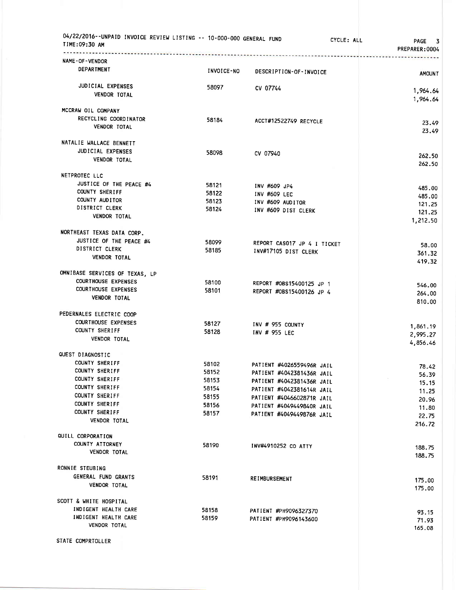| 04/22/2016--UNPAID INVOICE REVIEW LISTING -- 10-000-000 GENERAL FUND<br>TIME:09:30 AM |                | CYCLE: ALL                                     | <b>PAGE</b><br>- 3<br>PREPARER:0004 |
|---------------------------------------------------------------------------------------|----------------|------------------------------------------------|-------------------------------------|
| NAME-OF-VENDOR<br>DEPARTMENT                                                          | INVOICE-NO     | DESCRIPTION-OF-INVOICE                         | <b>AMOUNT</b>                       |
| JUDICIAL EXPENSES<br><b>VENDOR TOTAL</b>                                              | 58097          | CV 07744                                       | 1,964.64                            |
| MCCRAW OIL COMPANY                                                                    |                |                                                | 1,964.64                            |
| RECYCLING COORDINATOR<br><b>VENDOR TOTAL</b>                                          | 58184          | ACCT#12522749 RECYCLE                          | 23.49<br>23.49                      |
| NATALIE WALLACE BENNETT                                                               |                |                                                |                                     |
| JUDICIAL EXPENSES<br><b>VENDOR TOTAL</b>                                              | 58098          | CV 07940                                       | 262.50<br>262.50                    |
| NETPROTEC LLC                                                                         |                |                                                |                                     |
| JUSTICE OF THE PEACE #4                                                               | 58121          | INV #609 JP4                                   | 485.00                              |
| <b>COUNTY SHERIFF</b>                                                                 | 58122          | INV #609 LEC                                   | 485.00                              |
| COUNTY AUDITOR                                                                        | 58123          | INV #609 AUDITOR                               | 121.25                              |
| DISTRICT CLERK                                                                        | 58124          | INV #609 DIST CLERK                            | 121.25                              |
| <b>VENDOR TOTAL</b>                                                                   |                |                                                | 1,212.50                            |
| NORTHEAST TEXAS DATA CORP.                                                            |                |                                                |                                     |
| JUSTICE OF THE PEACE #4                                                               | 58099          | REPORT CASO17 JP 4 I TICKET                    | 58.00                               |
| DISTRICT CLERK                                                                        | 58185          | INV#17105 DIST CLERK                           | 361.32                              |
| <b>VENDOR TOTAL</b>                                                                   |                |                                                | 419.32                              |
| OMNIBASE SERVICES OF TEXAS, LP                                                        |                |                                                |                                     |
| <b>COURTHOUSE EXPENSES</b>                                                            | 58100          | REPORT #OBS15400125 JP 1                       | 546.00                              |
| <b>COURTHOUSE EXPENSES</b>                                                            | 58101          | REPORT #OBS15400126 JP 4                       | 264.00                              |
| <b>VENDOR TOTAL</b>                                                                   |                |                                                | 810.00                              |
| PEDERNALES ELECTRIC COOP                                                              |                |                                                |                                     |
| <b>COURTHOUSE EXPENSES</b>                                                            | 58127          | INV # 955 COUNTY                               |                                     |
| COUNTY SHERIFF                                                                        | 58128          | INV # 955 LEC                                  | 1,861.19<br>2,995.27                |
| <b>VENDOR TOTAL</b>                                                                   |                |                                                | 4,856.46                            |
| QUEST DIAGNOSTIC                                                                      |                |                                                |                                     |
| COUNTY SHERIFF                                                                        | 58102          | PATIENT #4026559496R JAIL                      |                                     |
| COUNTY SHERIFF                                                                        | 58152          | PATIENT #4042381436R JAIL                      | 78.42<br>56.39                      |
| COUNTY SHERIFF                                                                        | 58153          | PATIENT #4042381436R JAIL                      | 15.15                               |
| COUNTY SHERIFF                                                                        | 58154          | PATIENT #4042381614R JAIL                      | 11.25                               |
| COUNTY SHERIFF                                                                        | 58155          | PATIENT #4046602871R JAIL                      | 20.96                               |
| COUNTY SHERIFF<br>COUNTY SHERIFF                                                      | 58156          | PATIENT #4049449840R JAIL                      | 11.80                               |
| VENDOR TOTAL                                                                          | 58157          | PATIENT #4049449876R JAIL                      | 22.75<br>216.72                     |
|                                                                                       |                |                                                |                                     |
| QUILL CORPORATION<br>COUNTY ATTORNEY                                                  |                |                                                |                                     |
| <b>VENDOR TOTAL</b>                                                                   | 58190          | INV#4910252 CO ATTY                            | 188.75<br>188.75                    |
| RONNIE STEUBING                                                                       |                |                                                |                                     |
| GENERAL FUND GRANTS                                                                   | 58191          |                                                |                                     |
| VENDOR TOTAL                                                                          |                | <b>REIMBURSEMENT</b>                           | 175.00<br>175.00                    |
|                                                                                       |                |                                                |                                     |
| SCOTT & WHITE HOSPITAL<br>INDIGENT HEALTH CARE                                        |                |                                                |                                     |
| INDIGENT HEALTH CARE                                                                  | 58158<br>58159 | PATIENT #PH9096327370<br>PATIENT #PH9096143600 | 93.15                               |
| <b>VENDOR TOTAL</b>                                                                   |                |                                                | 71.93<br>165.08                     |
| STATE COMPRTOLLER                                                                     |                |                                                |                                     |
|                                                                                       |                |                                                |                                     |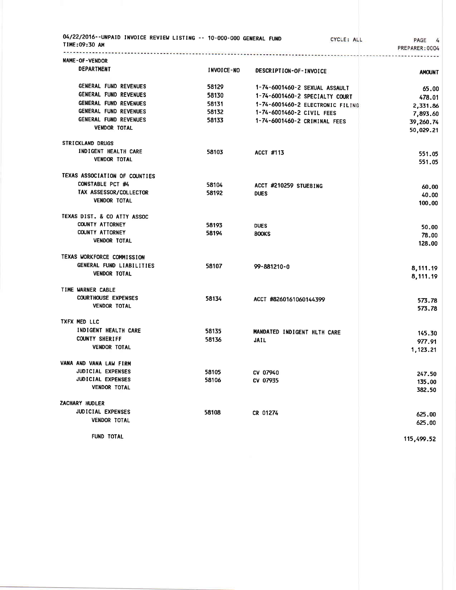| 04/22/2016--UNPAID INVOICE REVIEW LISTING -- 10-000-000 GENERAL FUND<br>TIME:09:30 AM |                   |                                | CYCLE: ALL                       | PAGE<br>PREPARER: 0004 |
|---------------------------------------------------------------------------------------|-------------------|--------------------------------|----------------------------------|------------------------|
| NAME-OF-VENDOR                                                                        |                   |                                |                                  |                        |
| <b>DEPARTMENT</b>                                                                     | <b>INVOICE-NO</b> | DESCRIPTION-OF-INVOICE         |                                  | <b>AMOUNT</b>          |
| GENERAL FUND REVENUES                                                                 | 58129             | 1-74-6001460-2 SEXUAL ASSAULT  |                                  | 65.00                  |
| GENERAL FUND REVENUES                                                                 | 58130             | 1-74-6001460-2 SPECIALTY COURT |                                  | 478.01                 |
| <b>GENERAL FUND REVENUES</b>                                                          | 58131             |                                | 1-74-6001460-2 ELECTRONIC FILING | 2,331.86               |
| GENERAL FUND REVENUES                                                                 | 58132             | 1-74-6001460-2 CIVIL FEES      |                                  | 7,893.60               |
| GENERAL FUND REVENUES                                                                 | 58133             | 1-74-6001460-2 CRIMINAL FEES   |                                  | 39,260.74              |
| <b>VENDOR TOTAL</b>                                                                   |                   |                                |                                  | 50,029.21              |
| <b>STRICKLAND DRUGS</b>                                                               |                   |                                |                                  |                        |
| INDIGENT HEALTH CARE                                                                  | 58103             | ACCT #113                      |                                  | 551.05                 |
| <b>VENDOR TOTAL</b>                                                                   |                   |                                |                                  | 551.05                 |
| TEXAS ASSOCIATION OF COUNTIES                                                         |                   |                                |                                  |                        |
| CONSTABLE PCT #4                                                                      | 58104             | ACCT #210259 STUEBING          |                                  | 60.00                  |
| TAX ASSESSOR/COLLECTOR                                                                | 58192             | <b>DUES</b>                    |                                  | 40.00                  |
| <b>VENDOR TOTAL</b>                                                                   |                   |                                |                                  | 100.00                 |
| TEXAS DIST. & CO ATTY ASSOC                                                           |                   |                                |                                  |                        |
| <b>COUNTY ATTORNEY</b>                                                                | 58193             | <b>DUES</b>                    |                                  | 50.00                  |
| <b>COUNTY ATTORNEY</b>                                                                | 58194             | <b>BOOKS</b>                   |                                  | 78.00                  |
| <b>VENDOR TOTAL</b>                                                                   |                   |                                |                                  | 128.00                 |
| TEXAS WORKFORCE COMMISSION                                                            |                   |                                |                                  |                        |
| GENERAL FUND LIABILITIES                                                              | 58107             | 99-881210-0                    |                                  | 8,111.19               |
| <b>VENDOR TOTAL</b>                                                                   |                   |                                |                                  | 8,111.19               |
| TIME WARNER CABLE                                                                     |                   |                                |                                  |                        |
| <b>COURTHOUSE EXPENSES</b>                                                            | 58134             | ACCT #8260161060144399         |                                  | 573.78                 |
| <b>VENDOR TOTAL</b>                                                                   |                   |                                |                                  | 573.78                 |
| TXFX MED LLC                                                                          |                   |                                |                                  |                        |
| INDIGENT HEALTH CARE                                                                  | 58135             | MANDATED INDIGENT HLTH CARE    |                                  | 145.30                 |
| <b>COUNTY SHERIFF</b>                                                                 | 58136             | <b>JAIL</b>                    |                                  | 977.91                 |
| <b>VENDOR TOTAL</b>                                                                   |                   |                                |                                  | 1,123.21               |
| VANA AND VANA LAW FIRM                                                                |                   |                                |                                  |                        |
| JUDICIAL EXPENSES                                                                     | 58105             | CV 07940                       |                                  | 247.50                 |
| JUDICIAL EXPENSES                                                                     | 58106             | CV 07935                       |                                  | 135.00                 |
| <b>VENDOR TOTAL</b>                                                                   |                   |                                |                                  | 382.50                 |
| ZACHARY HUDLER                                                                        |                   |                                |                                  |                        |
| <b>JUDICIAL EXPENSES</b>                                                              | 58108             | CR 01274                       |                                  | 625.00                 |
| <b>VENDOR TOTAL</b>                                                                   |                   |                                |                                  | 625.00                 |
| FUND TOTAL                                                                            |                   |                                |                                  | 115,499.52             |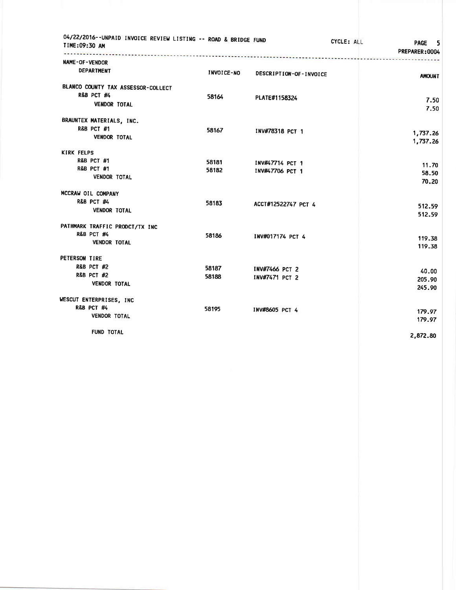| 04/22/2016--UNPAID INVOICE REVIEW LISTING -- ROAD & BRIDGE FUND<br>TIME:09:30 AM |                   |                        | CYCLE: ALL | <b>PAGE</b><br>- 5<br>PREPARER: 0004 |
|----------------------------------------------------------------------------------|-------------------|------------------------|------------|--------------------------------------|
| NAME-OF-VENDOR                                                                   |                   |                        |            |                                      |
| <b>DEPARTMENT</b>                                                                | <b>INVOICE-NO</b> | DESCRIPTION-OF-INVOICE |            | <b>AMOUNT</b>                        |
| BLANCO COUNTY TAX ASSESSOR-COLLECT                                               |                   |                        |            |                                      |
| <b>R&amp;B PCT #4</b>                                                            | 58164             | PLATE#1158324          |            |                                      |
| <b>VENDOR TOTAL</b>                                                              |                   |                        |            | 7.50<br>7.50                         |
| BRAUNTEX MATERIALS, INC.                                                         |                   |                        |            |                                      |
| <b>R&amp;B PCT #1</b>                                                            | 58167             | INV#78318 PCT 1        |            |                                      |
| <b>VENDOR TOTAL</b>                                                              |                   |                        |            | 1,737.26<br>1,737.26                 |
| <b>KIRK FELPS</b>                                                                |                   |                        |            |                                      |
| <b>R&amp;B PCT #1</b>                                                            | 58181             | INV#47714 PCT 1        |            |                                      |
| <b>R&amp;B PCT #1</b>                                                            | 58182             | INV#47706 PCT 1        |            | 11.70<br>58.50                       |
| <b>VENDOR TOTAL</b>                                                              |                   |                        |            | 70.20                                |
| MCCRAW OIL COMPANY                                                               |                   |                        |            |                                      |
| <b>R&amp;B PCT #4</b>                                                            | 58183             | ACCT#12522747 PCT 4    |            | 512.59                               |
| <b>VENDOR TOTAL</b>                                                              |                   |                        |            | 512.59                               |
| PATHMARK TRAFFIC PRODCT/TX INC                                                   |                   |                        |            |                                      |
| R&B PCT #4                                                                       | 58186             | INV#017174 PCT 4       |            | 119.38                               |
| <b>VENDOR TOTAL</b>                                                              |                   |                        |            | 119.38                               |
| PETERSON TIRE                                                                    |                   |                        |            |                                      |
| <b>R&amp;B PCT #2</b>                                                            | 58187             | <b>INV#7466 PCT 2</b>  |            | 40.00                                |
| <b>R&amp;B PCT #2</b>                                                            | 58188             | INV#7471 PCT 2         |            | 205.90                               |
| <b>VENDOR TOTAL</b>                                                              |                   |                        |            | 245.90                               |
| WESCUT ENTERPRISES, INC.                                                         |                   |                        |            |                                      |
| R&B PCT #4                                                                       | 58195             | INV#8605 PCT 4         |            | 179.97                               |
| <b>VENDOR TOTAL</b>                                                              |                   |                        |            | 179.97                               |
| FUND TOTAL                                                                       |                   |                        |            | 2,872.80                             |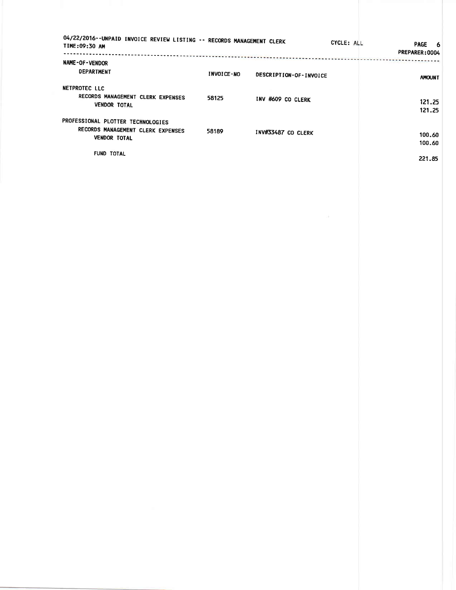| 04/22/2016--UNPAID INVOICE REVIEW LISTING -- RECORDS MANAGEMENT CLERK<br>TIME:09:30 AM |                   |                        | CYCLE: ALL | <b>PAGE</b><br>- 6<br>PREPARER: 0004 |
|----------------------------------------------------------------------------------------|-------------------|------------------------|------------|--------------------------------------|
| NAME-OF-VENDOR                                                                         |                   |                        |            |                                      |
| <b>DEPARTMENT</b>                                                                      | <b>INVOICE-NO</b> | DESCRIPTION-OF-INVOICE |            | <b>AMOUNT</b>                        |
| NETPROTEC LLC                                                                          |                   |                        |            |                                      |
| RECORDS MANAGEMENT CLERK EXPENSES<br><b>VENDOR TOTAL</b>                               | 58125             | INV #609 CO CLERK      |            | 121.25<br>121.25                     |
| PROFESSIONAL PLOTTER TECHNOLOGIES                                                      |                   |                        |            |                                      |
| RECORDS MANAGEMENT CLERK EXPENSES<br><b>VENDOR TOTAL</b>                               | 58189             | INV#33487 CO CLERK     |            | 100.60<br>100.60                     |
| <b>FUND TOTAL</b>                                                                      |                   |                        |            | 221.85                               |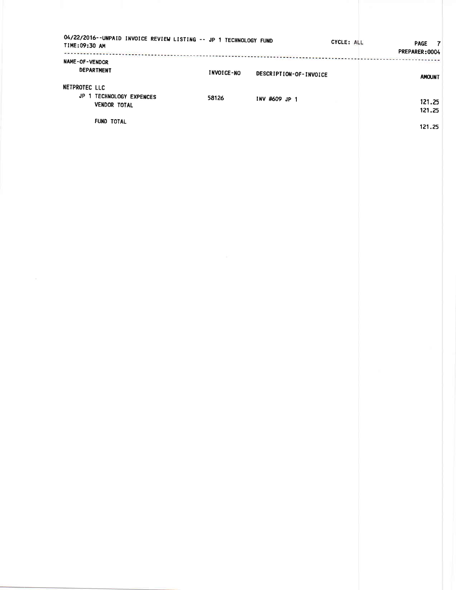| 04/22/2016--UNPAID INVOICE REVIEW LISTING -- JP 1 TECHNOLOGY FUND<br>TIME:09:30 AM |                   |                        | CYCLE: ALL | PAGE 7<br>PREPARER: 0004 |
|------------------------------------------------------------------------------------|-------------------|------------------------|------------|--------------------------|
| NAME-OF-VENDOR<br><b>DEPARTMENT</b>                                                | <b>INVOICE-NO</b> | DESCRIPTION-OF-INVOICE |            | <b>AMOUNT</b>            |
| NETPROTEC LLC<br>JP 1 TECHNOLOGY EXPENCES                                          | 58126             | INV #609 JP 1          |            |                          |
| <b>VENDOR TOTAL</b>                                                                |                   |                        |            | 121.25<br>121.25         |
| FUND TOTAL                                                                         |                   |                        |            | 121.25                   |
|                                                                                    |                   |                        |            |                          |
|                                                                                    |                   |                        |            |                          |
|                                                                                    |                   |                        |            |                          |
|                                                                                    |                   |                        |            |                          |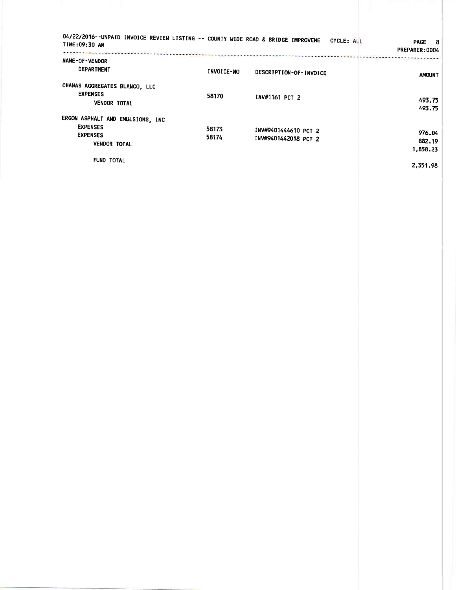| 04/22/2016--UNPAID INVOICE REVIEW LISTING -- COUNTY WIDE ROAD & BRIDGE IMPROVEME<br>TIME:09:30 AM |                   | CYCLE: ALL                                                                                                           | PAGE 8<br>PREPARER: 0004     |
|---------------------------------------------------------------------------------------------------|-------------------|----------------------------------------------------------------------------------------------------------------------|------------------------------|
| <b>NAME-OF-VENDOR</b><br><b>DEPARTMENT</b>                                                        | <b>INVOICE-NO</b> | property construction in the problem of ACC completed and the metric complete statement of<br>DESCRIPTION-OF-INVOICE | <b>AMOUNT</b>                |
| CHANAS AGGREGATES BLANCO, LLC<br><b>EXPENSES</b><br><b>VENDOR TOTAL</b>                           | 58170             | INV#1161 PCT 2                                                                                                       | 493.75<br>493.75             |
| ERGON ASPHALT AND EMULSIONS, INC<br><b>EXPENSES</b><br><b>EXPENSES</b><br><b>VENDOR TOTAL</b>     | 58173<br>58174    | INV#9401444610 PCT 2<br>INV#9401442018 PCT 2                                                                         | 976.04<br>882.19<br>1,858.23 |
| <b>FUND TOTAL</b>                                                                                 |                   |                                                                                                                      | 2.351.98                     |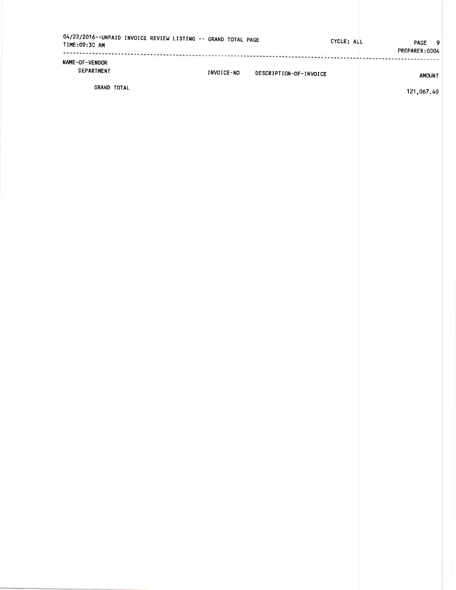| TIME:09:30 AM                | 04/22/2016--UNPAID INVOICE REVIEW LISTING -- GRAND TOTAL PAGE |            |                        | CYCLE: ALL | PAGE 9<br>PREPARER:0004 |
|------------------------------|---------------------------------------------------------------|------------|------------------------|------------|-------------------------|
| NAME-OF-VENDOR<br>DEPARTMENT |                                                               | INVOICE-NO | DESCRIPTION-OF-INVOICE |            | <b>AMOUNT</b>           |
| <b>GRAND TOTAL</b>           |                                                               |            |                        |            | 121.017.0               |

121 ,067.40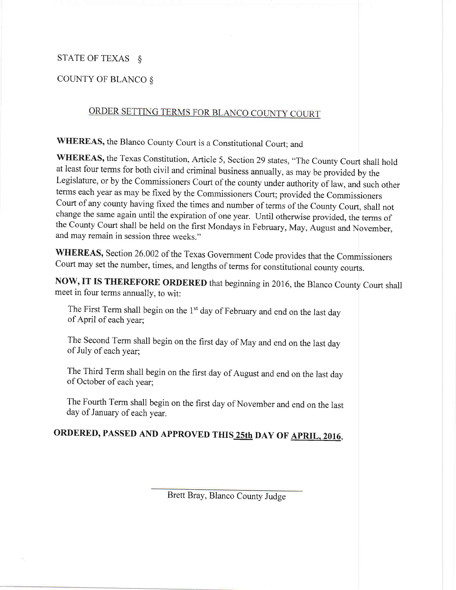## STATE OF TEXAS  $\delta$

## COUNTY OF BLANCO &

## ORDER SETTING TERMS FOR BLANCO COUNTY COURT

WHEREAS, the Blanco County Court is a Constitutional Court; and

WHEREAS, the Texas Constitution, Article 5, Section 29 states, "The County Court shall hold at least four terms for both civil and criminal business annually, as may be provided by the Legislature, or by the Commissioners Court of the county under authority of law, and such other terms each year as may be fixed by the Commissioners Court; provided the Commissioners Court of any county having fixed the times and number of terms of the County Court, shall not change the same againuntil the expiration of one year. Until otherwise provided, the terms of the County Court shall be held on the first Mondays in February, May, August and November, and may remain in session three weeks."

WHEREAS, Section 26.002 of the Texas Government Code provides that the Commissioners Court may set the number, times, and lengths of terms for constitutional county courts.

NOW, IT IS THEREFORE ORDERED that beginning in 2016, the Blanco County Court shall meet in four terms annually, to wit:

The First Term shall begin on the 1<sup>st</sup> day of February and end on the last day of April of each year;

The Second Term shall begin on the first day of May and end on the last day of July of each year;

The Third Term shall begin on the first day of August and end on the last day of October of each year;

The Fourth Term shall begin on the first day of November and end on the last day of January of each year.

## ORDERED, PASSED AND APPROVED THIS 25th DAY OF APRIL, 2016,

Brett Bray, Blanco County Judge